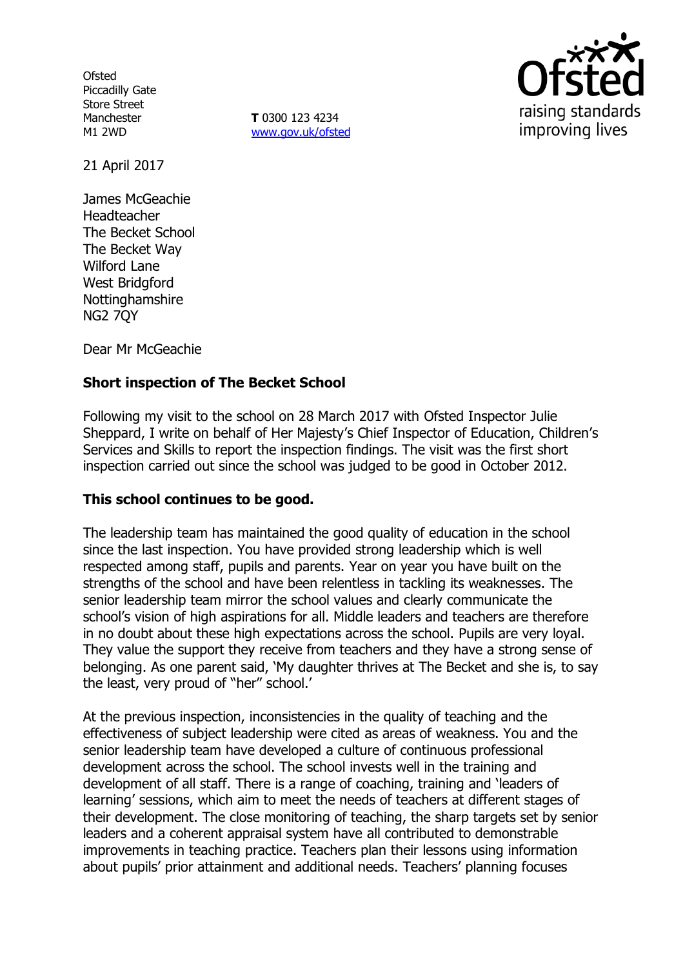**Ofsted** Piccadilly Gate Store Street Manchester M1 2WD

**T** 0300 123 4234 [www.gov.uk/ofsted](http://www.gov.uk/ofsted)



21 April 2017

James McGeachie Headteacher The Becket School The Becket Way Wilford Lane West Bridgford Nottinghamshire NG2 7QY

Dear Mr McGeachie

# **Short inspection of The Becket School**

Following my visit to the school on 28 March 2017 with Ofsted Inspector Julie Sheppard, I write on behalf of Her Majesty's Chief Inspector of Education, Children's Services and Skills to report the inspection findings. The visit was the first short inspection carried out since the school was judged to be good in October 2012.

### **This school continues to be good.**

The leadership team has maintained the good quality of education in the school since the last inspection. You have provided strong leadership which is well respected among staff, pupils and parents. Year on year you have built on the strengths of the school and have been relentless in tackling its weaknesses. The senior leadership team mirror the school values and clearly communicate the school's vision of high aspirations for all. Middle leaders and teachers are therefore in no doubt about these high expectations across the school. Pupils are very loyal. They value the support they receive from teachers and they have a strong sense of belonging. As one parent said, 'My daughter thrives at The Becket and she is, to say the least, very proud of "her" school.'

At the previous inspection, inconsistencies in the quality of teaching and the effectiveness of subject leadership were cited as areas of weakness. You and the senior leadership team have developed a culture of continuous professional development across the school. The school invests well in the training and development of all staff. There is a range of coaching, training and 'leaders of learning' sessions, which aim to meet the needs of teachers at different stages of their development. The close monitoring of teaching, the sharp targets set by senior leaders and a coherent appraisal system have all contributed to demonstrable improvements in teaching practice. Teachers plan their lessons using information about pupils' prior attainment and additional needs. Teachers' planning focuses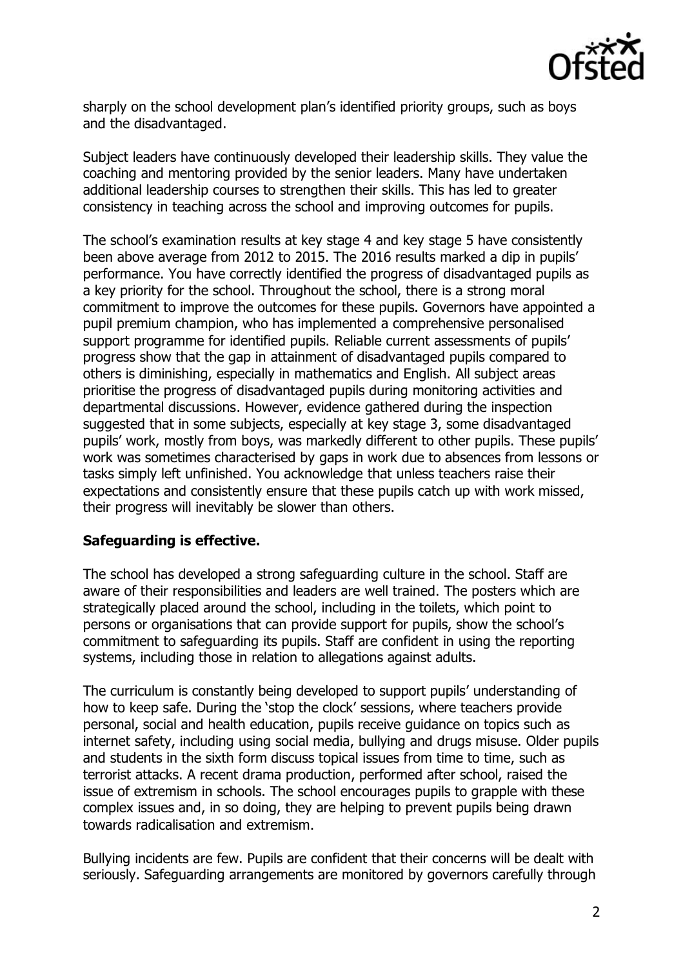

sharply on the school development plan's identified priority groups, such as boys and the disadvantaged.

Subject leaders have continuously developed their leadership skills. They value the coaching and mentoring provided by the senior leaders. Many have undertaken additional leadership courses to strengthen their skills. This has led to greater consistency in teaching across the school and improving outcomes for pupils.

The school's examination results at key stage 4 and key stage 5 have consistently been above average from 2012 to 2015. The 2016 results marked a dip in pupils' performance. You have correctly identified the progress of disadvantaged pupils as a key priority for the school. Throughout the school, there is a strong moral commitment to improve the outcomes for these pupils. Governors have appointed a pupil premium champion, who has implemented a comprehensive personalised support programme for identified pupils. Reliable current assessments of pupils' progress show that the gap in attainment of disadvantaged pupils compared to others is diminishing, especially in mathematics and English. All subject areas prioritise the progress of disadvantaged pupils during monitoring activities and departmental discussions. However, evidence gathered during the inspection suggested that in some subjects, especially at key stage 3, some disadvantaged pupils' work, mostly from boys, was markedly different to other pupils. These pupils' work was sometimes characterised by gaps in work due to absences from lessons or tasks simply left unfinished. You acknowledge that unless teachers raise their expectations and consistently ensure that these pupils catch up with work missed, their progress will inevitably be slower than others.

## **Safeguarding is effective.**

The school has developed a strong safeguarding culture in the school. Staff are aware of their responsibilities and leaders are well trained. The posters which are strategically placed around the school, including in the toilets, which point to persons or organisations that can provide support for pupils, show the school's commitment to safeguarding its pupils. Staff are confident in using the reporting systems, including those in relation to allegations against adults.

The curriculum is constantly being developed to support pupils' understanding of how to keep safe. During the 'stop the clock' sessions, where teachers provide personal, social and health education, pupils receive guidance on topics such as internet safety, including using social media, bullying and drugs misuse. Older pupils and students in the sixth form discuss topical issues from time to time, such as terrorist attacks. A recent drama production, performed after school, raised the issue of extremism in schools. The school encourages pupils to grapple with these complex issues and, in so doing, they are helping to prevent pupils being drawn towards radicalisation and extremism.

Bullying incidents are few. Pupils are confident that their concerns will be dealt with seriously. Safeguarding arrangements are monitored by governors carefully through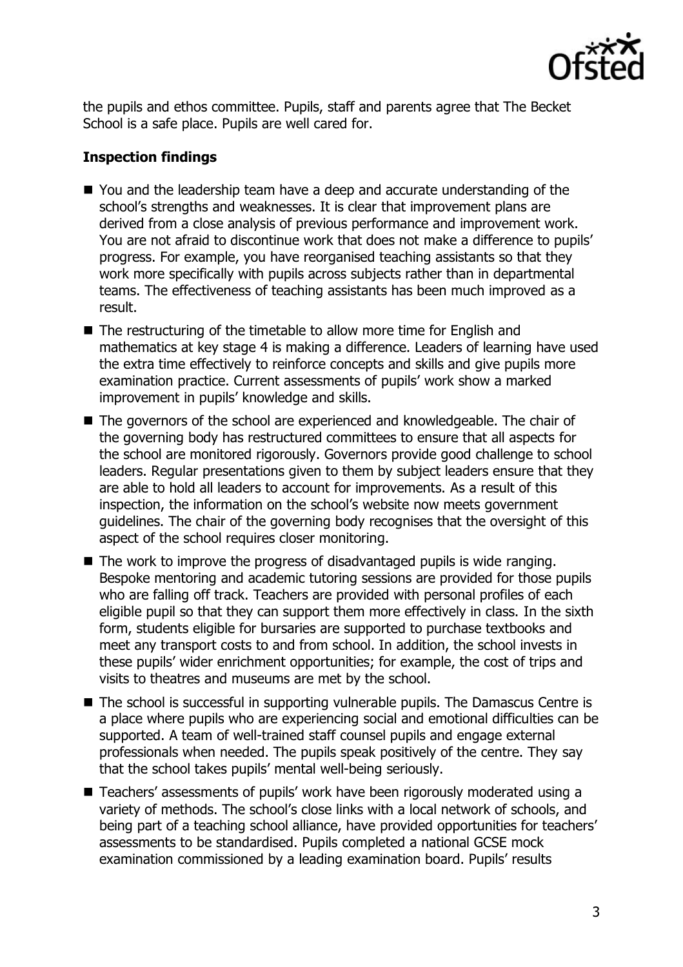

the pupils and ethos committee. Pupils, staff and parents agree that The Becket School is a safe place. Pupils are well cared for.

# **Inspection findings**

- You and the leadership team have a deep and accurate understanding of the school's strengths and weaknesses. It is clear that improvement plans are derived from a close analysis of previous performance and improvement work. You are not afraid to discontinue work that does not make a difference to pupils' progress. For example, you have reorganised teaching assistants so that they work more specifically with pupils across subjects rather than in departmental teams. The effectiveness of teaching assistants has been much improved as a result.
- The restructuring of the timetable to allow more time for English and mathematics at key stage 4 is making a difference. Leaders of learning have used the extra time effectively to reinforce concepts and skills and give pupils more examination practice. Current assessments of pupils' work show a marked improvement in pupils' knowledge and skills.
- The governors of the school are experienced and knowledgeable. The chair of the governing body has restructured committees to ensure that all aspects for the school are monitored rigorously. Governors provide good challenge to school leaders. Regular presentations given to them by subject leaders ensure that they are able to hold all leaders to account for improvements. As a result of this inspection, the information on the school's website now meets government guidelines. The chair of the governing body recognises that the oversight of this aspect of the school requires closer monitoring.
- $\blacksquare$  The work to improve the progress of disadvantaged pupils is wide ranging. Bespoke mentoring and academic tutoring sessions are provided for those pupils who are falling off track. Teachers are provided with personal profiles of each eligible pupil so that they can support them more effectively in class. In the sixth form, students eligible for bursaries are supported to purchase textbooks and meet any transport costs to and from school. In addition, the school invests in these pupils' wider enrichment opportunities; for example, the cost of trips and visits to theatres and museums are met by the school.
- The school is successful in supporting vulnerable pupils. The Damascus Centre is a place where pupils who are experiencing social and emotional difficulties can be supported. A team of well-trained staff counsel pupils and engage external professionals when needed. The pupils speak positively of the centre. They say that the school takes pupils' mental well-being seriously.
- Teachers' assessments of pupils' work have been rigorously moderated using a variety of methods. The school's close links with a local network of schools, and being part of a teaching school alliance, have provided opportunities for teachers' assessments to be standardised. Pupils completed a national GCSE mock examination commissioned by a leading examination board. Pupils' results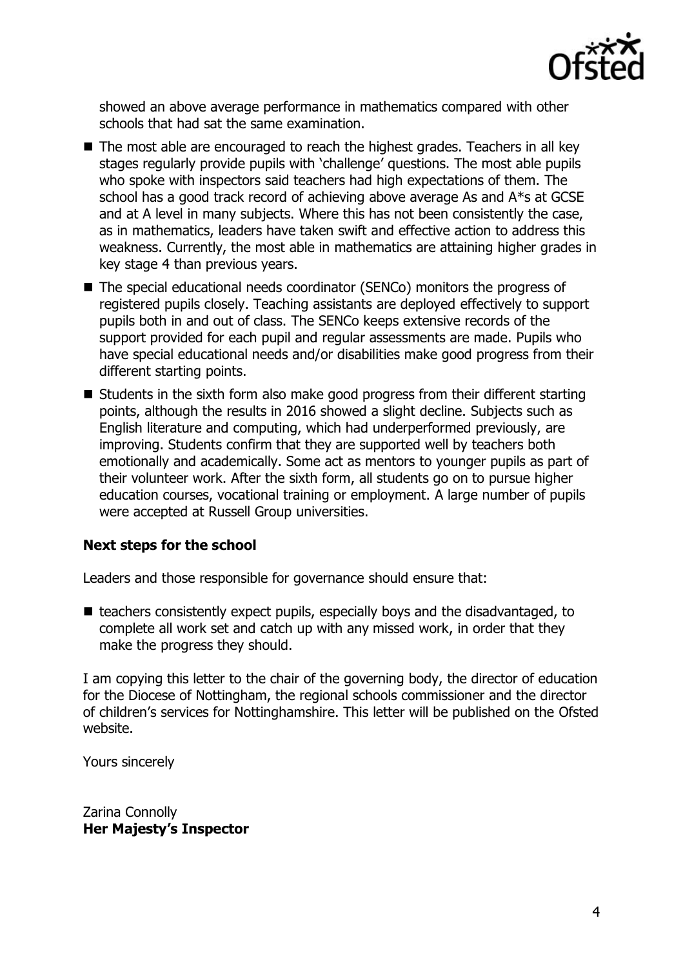

showed an above average performance in mathematics compared with other schools that had sat the same examination.

- The most able are encouraged to reach the highest grades. Teachers in all key stages regularly provide pupils with 'challenge' questions. The most able pupils who spoke with inspectors said teachers had high expectations of them. The school has a good track record of achieving above average As and A\*s at GCSE and at A level in many subjects. Where this has not been consistently the case, as in mathematics, leaders have taken swift and effective action to address this weakness. Currently, the most able in mathematics are attaining higher grades in key stage 4 than previous years.
- The special educational needs coordinator (SENCo) monitors the progress of registered pupils closely. Teaching assistants are deployed effectively to support pupils both in and out of class. The SENCo keeps extensive records of the support provided for each pupil and regular assessments are made. Pupils who have special educational needs and/or disabilities make good progress from their different starting points.
- Students in the sixth form also make good progress from their different starting points, although the results in 2016 showed a slight decline. Subjects such as English literature and computing, which had underperformed previously, are improving. Students confirm that they are supported well by teachers both emotionally and academically. Some act as mentors to younger pupils as part of their volunteer work. After the sixth form, all students go on to pursue higher education courses, vocational training or employment. A large number of pupils were accepted at Russell Group universities.

### **Next steps for the school**

Leaders and those responsible for governance should ensure that:

 $\blacksquare$  teachers consistently expect pupils, especially boys and the disadvantaged, to complete all work set and catch up with any missed work, in order that they make the progress they should.

I am copying this letter to the chair of the governing body, the director of education for the Diocese of Nottingham, the regional schools commissioner and the director of children's services for Nottinghamshire. This letter will be published on the Ofsted website.

Yours sincerely

Zarina Connolly **Her Majesty's Inspector**